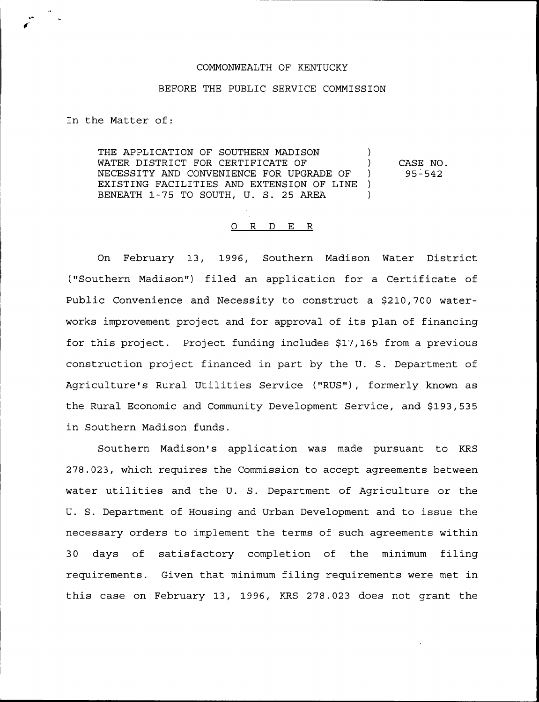## COMMONWEALTH OF KENTUCKY

## BEFORE THE PUBLIC SERVICE COMMISSION

In the Matter of:

THE APPLICATION OF SOUTHERN MADISON WATER DISTRICT FOR CERTIFICATE OF  $\qquad$ NECESSITY AND CONVENIENCE FOR UPGRADE OF ) EXISTING FACILITIES AND EXTENSION OF LINE ) BENEATH 1-75 TO SOUTH, U. S. 25 AREA  $\qquad$ CASE NO. 95-542

## 0 R <sup>D</sup> E R

On February 13, 1996, Southern Madison Water District ("Southern Madison") filed an application for a Certificate of Public Convenience and Necessity to construct a \$210,700 waterworks improvement project and for approval of its plan of financing for this project. Project funding includes \$17,165 from a previous construction project financed in part by the U. S. Department of Agriculture's Rural Utilities Service ("RUS"), formerly known as the Rural Economic and Community Development Service, and \$193,535 in Southern Madison funds.

Southern Madison's application was made pursuant to KRS 278.023, which requires the Commission to accept agreements between water utilities and the U. S. Department of Agriculture or the U. S. Department of Housing and Urban Development and to issue the necessary orders to implement the terms of such agreements within 30 days of satisfactory completion of the minimum filing requirements. Given that minimum filing requirements were met in this case on February 13, 1996, KRS 278.023 does not grant the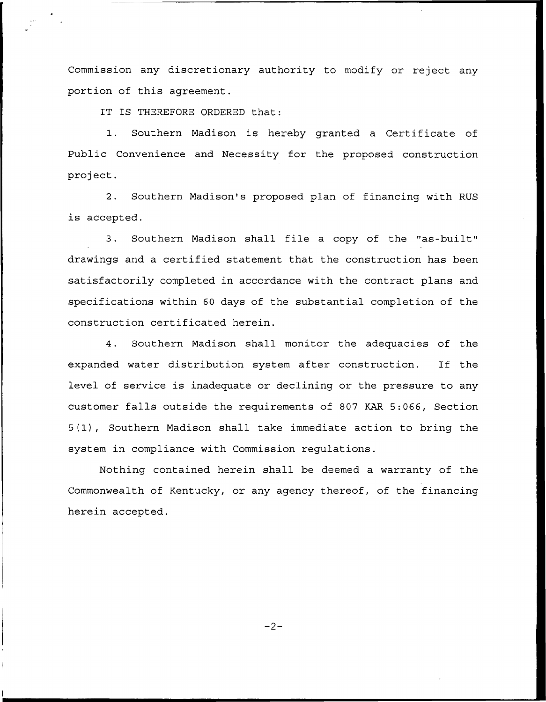Commission any discretionary authority to modify or reject any portion of this agreement.

IT IS THEREFORE ORDERED that:

1. Southern Madison is hereby granted <sup>a</sup> Certificate of Public Convenience and Necessity for the proposed construction project.

2. Southern Madison's proposed plan of financing with RUS is accepted.

3. Southern Madison shall file a copy of the "as-built" drawings and a certified statement that the construction has been satisfactorily completed in accordance with the contract plans and specifications within 60 days of the substantial completion of the construction certificated herein.

4. Southern Madison shall monitor the adequacies of the expanded water distribution system after construction. If the level of service is inadequate or declining or the pressure to any customer falls outside the requirements of 807 KAR 5:066, Section 5(1), Southern Madison shall take immediate action to bring the system in compliance with Commission regulations.

Nothing contained herein shall be deemed a warranty of the Commonwealth of Kentucky, or any agency thereof, of the financing herein accepted.

 $-2-$